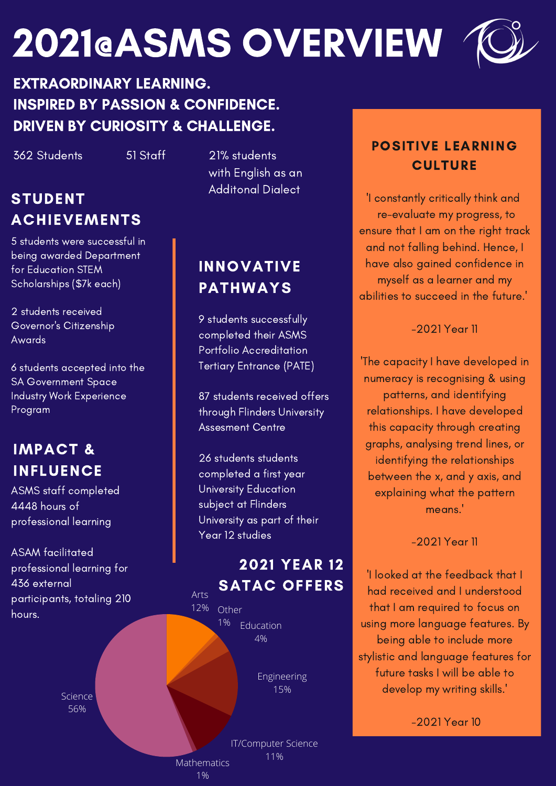# 2021@ASMS OVERVIEW



## EXTRAORDINARY LEARNING. INSPIRED BY PASSION & CONFIDENCE. DRIVEN BY CURIOSITY & CHALLENGE.

362 Students 51 Staff 21% students

# STUDENT ACHIEVEMENTS

5 students were successful in being awarded Department for Education STEM Scholarships (\$7k each)

2 students received Governor's Citizenship Awards

6 students accepted into the SA Government Space Industry Work Experience Program

# IMPACT & INFLUENCE

ASMS staff completed 4448 hours of professional learning

ASAM facilitated professional learning for 436 external participants, totaling 210 hours.

> **Science** 56%

with English as an Additonal Dialect

# INNOVATIVE PATHWAYS

9 students successfully completed their ASMS Portfolio Accreditation Tertiary Entrance (PATE)

87 students received offers through Flinders University Assesment Centre

26 students students completed a first year University Education subject at Flinders University as part of their Year 12 studies

## 2021 YEAR 12 SATAC OFFERS

12% Education 4% Other 1%

> Engineering 15%

IT/Computer Science 11%

POSITIVE LEARNING **CULTURE** 

'I constantly critically think and re-evaluate my progress, to ensure that I am on the right track and not falling behind. Hence, I have also gained confidence in myself as a learner and my abilities to succeed in the future.'

-2021 Year 11

'The capacity I have developed in numeracy is recognising & using patterns, and identifying relationships. I have developed this capacity through creating graphs, analysing trend lines, or identifying the relationships between the x, and y axis, and explaining what the pattern means.'

-2021 Year 11

'I looked at the feedback that I had received and I understood that I am required to focus on using more language features. By being able to include more stylistic and language features for future tasks I will be able to develop my writing skills.'

-2021 Year 10

**Mathematics** 1%

Arts